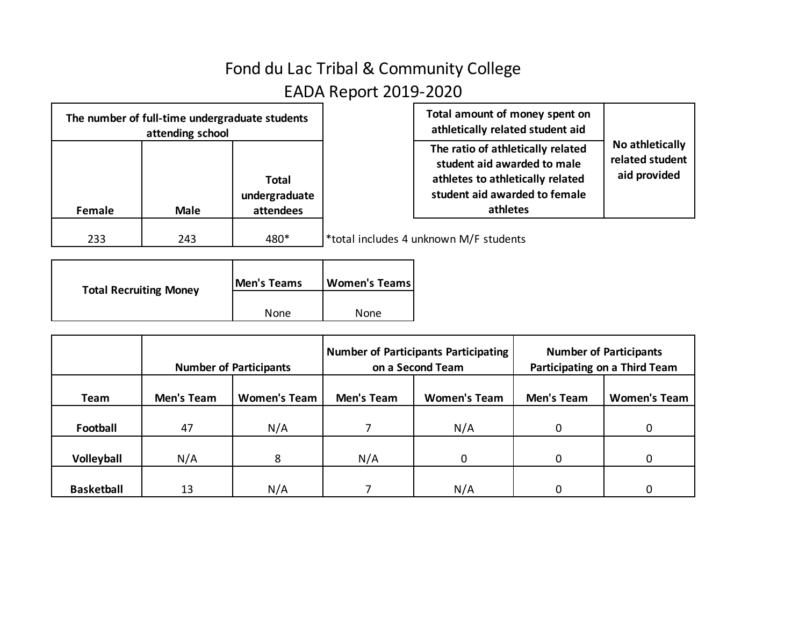## Fond du Lac Tribal & Community College EADA Report 2019-2020

| The number of full-time undergraduate students<br>attending school |             |                                            | Total amount of money spent on<br>athletically related student aid                                                                                |                                                    |
|--------------------------------------------------------------------|-------------|--------------------------------------------|---------------------------------------------------------------------------------------------------------------------------------------------------|----------------------------------------------------|
| Female                                                             | <b>Male</b> | <b>Total</b><br>undergraduate<br>attendees | The ratio of athletically related<br>student aid awarded to male<br>athletes to athletically related<br>student aid awarded to female<br>athletes | No athletically<br>related student<br>aid provided |
| 233                                                                | 243         | 480*                                       | *total includes 4 unknown M/F students                                                                                                            |                                                    |

| <b>Total Recruiting Money</b> | <b>Men's Teams</b> | <b>Women's Teams</b> |  |
|-------------------------------|--------------------|----------------------|--|
|                               | None               | None                 |  |

|                   | <b>Number of Participants</b> |                     | <b>Number of Participants Participating</b><br>on a Second Team |                     | <b>Number of Participants</b><br>Participating on a Third Team |                     |
|-------------------|-------------------------------|---------------------|-----------------------------------------------------------------|---------------------|----------------------------------------------------------------|---------------------|
| Team              | Men's Team                    | <b>Women's Team</b> | Men's Team                                                      | <b>Women's Team</b> | <b>Men's Team</b>                                              | <b>Women's Team</b> |
| Football          | 47                            | N/A                 |                                                                 | N/A                 | $\Omega$                                                       |                     |
| Volleyball        | N/A                           | 8                   | N/A                                                             | <sup>0</sup>        | $\Omega$                                                       |                     |
| <b>Basketball</b> | 13                            | N/A                 |                                                                 | N/A                 | $\Omega$                                                       |                     |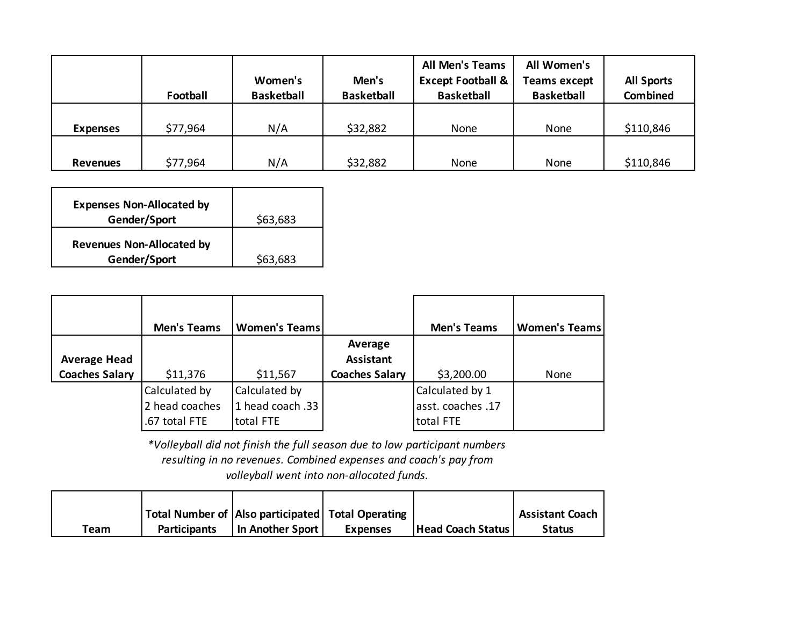|                 | Football | Women's<br><b>Basketball</b> | Men's<br><b>Basketball</b> | <b>All Men's Teams</b><br><b>Except Football &amp;</b><br><b>Basketball</b> | All Women's<br><b>Teams except</b><br><b>Basketball</b> | <b>All Sports</b><br><b>Combined</b> |
|-----------------|----------|------------------------------|----------------------------|-----------------------------------------------------------------------------|---------------------------------------------------------|--------------------------------------|
| <b>Expenses</b> | \$77,964 | N/A                          | \$32,882                   | None                                                                        | None                                                    | \$110,846                            |
| <b>Revenues</b> | \$77,964 | N/A                          | \$32,882                   | None                                                                        | None                                                    | \$110,846                            |

| <b>Expenses Non-Allocated by</b><br>Gender/Sport | \$63,683 |
|--------------------------------------------------|----------|
| <b>Revenues Non-Allocated by</b><br>Gender/Sport | \$63,683 |

|                       | <b>Men's Teams</b>                               | <b>Women's Teams</b>                           |                             | <b>Men's Teams</b>                                | <b>Women's Teams</b> |
|-----------------------|--------------------------------------------------|------------------------------------------------|-----------------------------|---------------------------------------------------|----------------------|
| <b>Average Head</b>   |                                                  |                                                | Average<br><b>Assistant</b> |                                                   |                      |
| <b>Coaches Salary</b> | \$11,376                                         | \$11,567                                       | <b>Coaches Salary</b>       | \$3,200.00                                        | None                 |
|                       | Calculated by<br>2 head coaches<br>.67 total FTE | Calculated by<br>1 head coach .33<br>total FTE |                             | Calculated by 1<br>asst. coaches .17<br>total FTE |                      |

*\*Volleyball did not finish the full season due to low participant numbers resulting in no revenues. Combined expenses and coach's pay from volleyball went into non-allocated funds.*

|      |                     | Total Number of   Also participated   Total Operating |                 |                          | <b>Assistant Coach</b> |
|------|---------------------|-------------------------------------------------------|-----------------|--------------------------|------------------------|
| Team | <b>Participants</b> | In Another Sport                                      | <b>Expenses</b> | <b>Head Coach Status</b> | <b>Status</b>          |